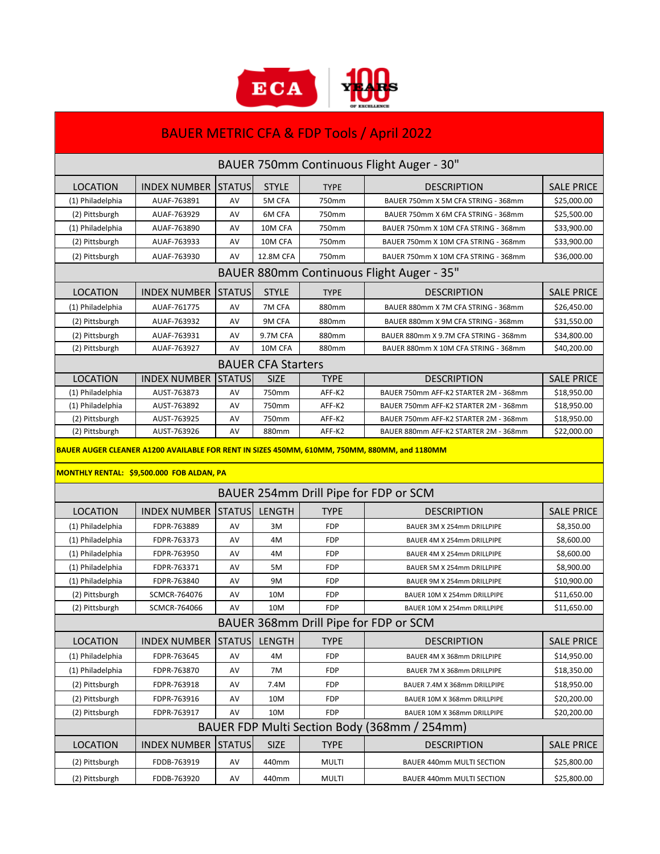

| <b>BAUER METRIC CFA &amp; FDP Tools / April 2022</b>                                                                                      |                                           |               |               |              |                                       |                   |  |  |  |  |  |
|-------------------------------------------------------------------------------------------------------------------------------------------|-------------------------------------------|---------------|---------------|--------------|---------------------------------------|-------------------|--|--|--|--|--|
| BAUER 750mm Continuous Flight Auger - 30"                                                                                                 |                                           |               |               |              |                                       |                   |  |  |  |  |  |
| LOCATION                                                                                                                                  | <b>INDEX NUMBER</b>                       | <b>STATUS</b> | <b>STYLE</b>  | <b>TYPE</b>  | <b>DESCRIPTION</b>                    | <b>SALE PRICE</b> |  |  |  |  |  |
| (1) Philadelphia                                                                                                                          | AUAF-763891                               | AV            | 5M CFA        | 750mm        | BAUER 750mm X 5M CFA STRING - 368mm   | \$25,000.00       |  |  |  |  |  |
| (2) Pittsburgh                                                                                                                            | AUAF-763929                               | AV            | 6M CFA        | 750mm        | BAUER 750mm X 6M CFA STRING - 368mm   | \$25,500.00       |  |  |  |  |  |
| (1) Philadelphia                                                                                                                          | AUAF-763890                               | AV            | 10M CFA       | 750mm        | BAUER 750mm X 10M CFA STRING - 368mm  | \$33,900.00       |  |  |  |  |  |
| (2) Pittsburgh                                                                                                                            | AUAF-763933                               | AV            | 10M CFA       | 750mm        | BAUER 750mm X 10M CFA STRING - 368mm  | \$33,900.00       |  |  |  |  |  |
| (2) Pittsburgh                                                                                                                            | AUAF-763930                               | AV            | 12.8M CFA     | 750mm        | BAUER 750mm X 10M CFA STRING - 368mm  | \$36,000.00       |  |  |  |  |  |
|                                                                                                                                           | BAUER 880mm Continuous Flight Auger - 35" |               |               |              |                                       |                   |  |  |  |  |  |
| <b>LOCATION</b>                                                                                                                           | <b>INDEX NUMBER</b>                       | <b>STATUS</b> | <b>STYLE</b>  | <b>TYPE</b>  | <b>DESCRIPTION</b>                    | <b>SALE PRICE</b> |  |  |  |  |  |
| (1) Philadelphia                                                                                                                          | AUAF-761775                               | AV            | 7M CFA        | 880mm        | BAUER 880mm X 7M CFA STRING - 368mm   | \$26,450.00       |  |  |  |  |  |
| (2) Pittsburgh                                                                                                                            | AUAF-763932                               | AV            | 9M CFA        | 880mm        | BAUER 880mm X 9M CFA STRING - 368mm   | \$31,550.00       |  |  |  |  |  |
| (2) Pittsburgh                                                                                                                            | AUAF-763931                               | AV            | 9.7M CFA      | 880mm        | BAUER 880mm X 9.7M CFA STRING - 368mm | \$34,800.00       |  |  |  |  |  |
| (2) Pittsburgh                                                                                                                            | AUAF-763927                               | AV            | 10M CFA       | 880mm        | BAUER 880mm X 10M CFA STRING - 368mm  | \$40,200.00       |  |  |  |  |  |
|                                                                                                                                           | <b>BAUER CFA Starters</b>                 |               |               |              |                                       |                   |  |  |  |  |  |
| <b>LOCATION</b>                                                                                                                           | <b>INDEX NUMBER</b>                       | <b>STATUS</b> | <b>SIZE</b>   | <b>TYPE</b>  | <b>DESCRIPTION</b>                    | <b>SALE PRICE</b> |  |  |  |  |  |
| (1) Philadelphia                                                                                                                          | AUST-763873                               | AV            | 750mm         | AFF-K2       | BAUER 750mm AFF-K2 STARTER 2M - 368mm | \$18,950.00       |  |  |  |  |  |
| (1) Philadelphia                                                                                                                          | AUST-763892                               | AV            | 750mm         | AFF-K2       | BAUER 750mm AFF-K2 STARTER 2M - 368mm | \$18,950.00       |  |  |  |  |  |
| (2) Pittsburgh                                                                                                                            | AUST-763925                               | AV            | 750mm         | AFF-K2       | BAUER 750mm AFF-K2 STARTER 2M - 368mm | \$18,950.00       |  |  |  |  |  |
| (2) Pittsburgh                                                                                                                            | AUST-763926                               | AV            | 880mm         | AFF-K2       | BAUER 880mm AFF-K2 STARTER 2M - 368mm | \$22,000.00       |  |  |  |  |  |
| BAUER AUGER CLEANER A1200 AVAILABLE FOR RENT IN SIZES 450MM, 610MM, 750MM, 880MM, and 1180MM<br>MONTHLY RENTAL: \$9,500.000 FOB ALDAN, PA |                                           |               |               |              |                                       |                   |  |  |  |  |  |
| BAUER 254mm Drill Pipe for FDP or SCM                                                                                                     |                                           |               |               |              |                                       |                   |  |  |  |  |  |
| <b>LOCATION</b>                                                                                                                           | <b>INDEX NUMBER</b>                       | <b>STATUS</b> | <b>LENGTH</b> | TYPE         | <b>DESCRIPTION</b>                    | <b>SALE PRICE</b> |  |  |  |  |  |
| (1) Philadelphia                                                                                                                          | FDPR-763889                               | AV            | 3M            | <b>FDP</b>   | BAUER 3M X 254mm DRILLPIPE            | \$8,350.00        |  |  |  |  |  |
| (1) Philadelphia                                                                                                                          | FDPR-763373                               | AV            | 4M            | <b>FDP</b>   | BAUER 4M X 254mm DRILLPIPE            | \$8,600.00        |  |  |  |  |  |
| (1) Philadelphia                                                                                                                          | FDPR-763950                               | AV            | 4M            | FDP          | BAUER 4M X 254mm DRILLPIPE            | \$8,600.00        |  |  |  |  |  |
| (1) Philadelphia                                                                                                                          | FDPR-763371                               | AV            | 5M            | <b>FDP</b>   | BAUER 5M X 254mm DRILLPIPE            | \$8,900.00        |  |  |  |  |  |
| (1) Philadelphia                                                                                                                          | FDPR-763840                               | AV            | 9Μ            | FDP          | BAUER 9M X 254mm DRILLPIPE            | \$10,900.00       |  |  |  |  |  |
| (2) Pittsburgh                                                                                                                            | SCMCR-764076                              | AV            | 10M           | <b>FDP</b>   | BAUER 10M X 254mm DRILLPIPE           | \$11,650.00       |  |  |  |  |  |
| (2) Pittsburgh                                                                                                                            | SCMCR-764066                              | AV            | 10M           | <b>FDP</b>   | BAUER 10M X 254mm DRILLPIPE           | \$11,650.00       |  |  |  |  |  |
| BAUER 368mm Drill Pipe for FDP or SCM                                                                                                     |                                           |               |               |              |                                       |                   |  |  |  |  |  |
| <b>LOCATION</b>                                                                                                                           | <b>INDEX NUMBER</b>                       | <b>STATUS</b> | LENGTH        | <b>TYPE</b>  | <b>DESCRIPTION</b>                    | <b>SALE PRICE</b> |  |  |  |  |  |
| (1) Philadelphia                                                                                                                          | FDPR-763645                               | AV            | 4M            | FDP          | BAUER 4M X 368mm DRILLPIPE            | \$14,950.00       |  |  |  |  |  |
| (1) Philadelphia                                                                                                                          | FDPR-763870                               | AV            | 7M            | FDP          | BAUER 7M X 368mm DRILLPIPE            | \$18,350.00       |  |  |  |  |  |
| (2) Pittsburgh                                                                                                                            | FDPR-763918                               | AV            | 7.4M          | FDP          | BAUER 7.4M X 368mm DRILLPIPE          | \$18,950.00       |  |  |  |  |  |
| (2) Pittsburgh                                                                                                                            | FDPR-763916                               | AV            | 10M           | FDP          | BAUER 10M X 368mm DRILLPIPE           | \$20,200.00       |  |  |  |  |  |
| (2) Pittsburgh                                                                                                                            | FDPR-763917                               | AV            | 10M           | FDP          | BAUER 10M X 368mm DRILLPIPE           | \$20,200.00       |  |  |  |  |  |
| BAUER FDP Multi Section Body (368mm / 254mm)                                                                                              |                                           |               |               |              |                                       |                   |  |  |  |  |  |
| <b>LOCATION</b>                                                                                                                           | <b>INDEX NUMBER</b>                       | <b>STATUS</b> | <b>SIZE</b>   | <b>TYPE</b>  | <b>DESCRIPTION</b>                    | <b>SALE PRICE</b> |  |  |  |  |  |
| (2) Pittsburgh                                                                                                                            | FDDB-763919                               | AV            | 440mm         | <b>MULTI</b> | BAUER 440mm MULTI SECTION             | \$25,800.00       |  |  |  |  |  |
| (2) Pittsburgh                                                                                                                            | FDDB-763920                               | AV            | 440mm         | <b>MULTI</b> | BAUER 440mm MULTI SECTION             | \$25,800.00       |  |  |  |  |  |